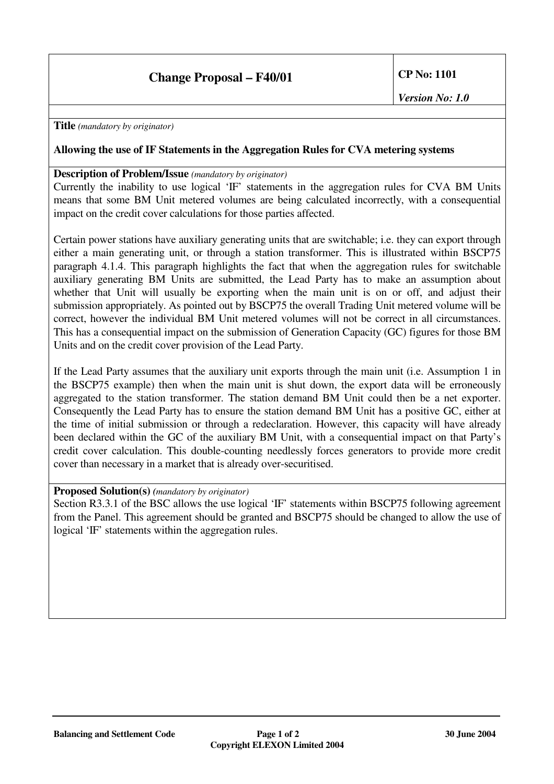**Title** *(mandatory by originator)*

## **Allowing the use of IF Statements in the Aggregation Rules for CVA metering systems**

### **Description of Problem/Issue** *(mandatory by originator)*

Currently the inability to use logical 'IF' statements in the aggregation rules for CVA BM Units means that some BM Unit metered volumes are being calculated incorrectly, with a consequential impact on the credit cover calculations for those parties affected.

Certain power stations have auxiliary generating units that are switchable; i.e. they can export through either a main generating unit, or through a station transformer. This is illustrated within BSCP75 paragraph 4.1.4. This paragraph highlights the fact that when the aggregation rules for switchable auxiliary generating BM Units are submitted, the Lead Party has to make an assumption about whether that Unit will usually be exporting when the main unit is on or off, and adjust their submission appropriately. As pointed out by BSCP75 the overall Trading Unit metered volume will be correct, however the individual BM Unit metered volumes will not be correct in all circumstances. This has a consequential impact on the submission of Generation Capacity (GC) figures for those BM Units and on the credit cover provision of the Lead Party.

If the Lead Party assumes that the auxiliary unit exports through the main unit (i.e. Assumption 1 in the BSCP75 example) then when the main unit is shut down, the export data will be erroneously aggregated to the station transformer. The station demand BM Unit could then be a net exporter. Consequently the Lead Party has to ensure the station demand BM Unit has a positive GC, either at the time of initial submission or through a redeclaration. However, this capacity will have already been declared within the GC of the auxiliary BM Unit, with a consequential impact on that Party's credit cover calculation. This double-counting needlessly forces generators to provide more credit cover than necessary in a market that is already over-securitised.

#### **Proposed Solution(s)** *(mandatory by originator)*

Section R3.3.1 of the BSC allows the use logical 'IF' statements within BSCP75 following agreement from the Panel. This agreement should be granted and BSCP75 should be changed to allow the use of logical 'IF' statements within the aggregation rules.